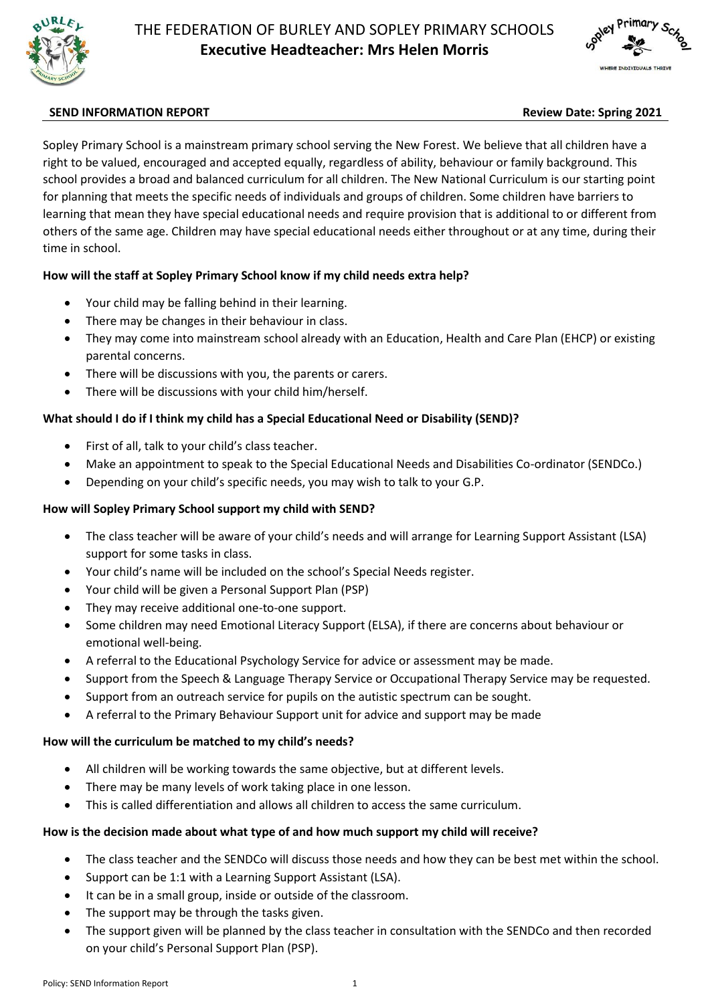



# **SEND INFORMATION REPORT Review Date: Spring 2021**

Sopley Primary School is a mainstream primary school serving the New Forest. We believe that all children have a right to be valued, encouraged and accepted equally, regardless of ability, behaviour or family background. This school provides a broad and balanced curriculum for all children. The New National Curriculum is our starting point for planning that meets the specific needs of individuals and groups of children. Some children have barriers to learning that mean they have special educational needs and require provision that is additional to or different from others of the same age. Children may have special educational needs either throughout or at any time, during their time in school.

# **How will the staff at Sopley Primary School know if my child needs extra help?**

- Your child may be falling behind in their learning.
- There may be changes in their behaviour in class.
- They may come into mainstream school already with an Education, Health and Care Plan (EHCP) or existing parental concerns.
- There will be discussions with you, the parents or carers.
- There will be discussions with your child him/herself.

### **What should I do if I think my child has a Special Educational Need or Disability (SEND)?**

- First of all, talk to your child's class teacher.
- Make an appointment to speak to the Special Educational Needs and Disabilities Co-ordinator (SENDCo.)
- Depending on your child's specific needs, you may wish to talk to your G.P.

#### **How will Sopley Primary School support my child with SEND?**

- The class teacher will be aware of your child's needs and will arrange for Learning Support Assistant (LSA) support for some tasks in class.
- Your child's name will be included on the school's Special Needs register.
- Your child will be given a Personal Support Plan (PSP)
- They may receive additional one-to-one support.
- Some children may need Emotional Literacy Support (ELSA), if there are concerns about behaviour or emotional well-being.
- A referral to the Educational Psychology Service for advice or assessment may be made.
- Support from the Speech & Language Therapy Service or Occupational Therapy Service may be requested.
- Support from an outreach service for pupils on the autistic spectrum can be sought.
- A referral to the Primary Behaviour Support unit for advice and support may be made

# **How will the curriculum be matched to my child's needs?**

- All children will be working towards the same objective, but at different levels.
- There may be many levels of work taking place in one lesson.
- This is called differentiation and allows all children to access the same curriculum.

# **How is the decision made about what type of and how much support my child will receive?**

- The class teacher and the SENDCo will discuss those needs and how they can be best met within the school.
- Support can be 1:1 with a Learning Support Assistant (LSA).
- It can be in a small group, inside or outside of the classroom.
- The support may be through the tasks given.
- The support given will be planned by the class teacher in consultation with the SENDCo and then recorded on your child's Personal Support Plan (PSP).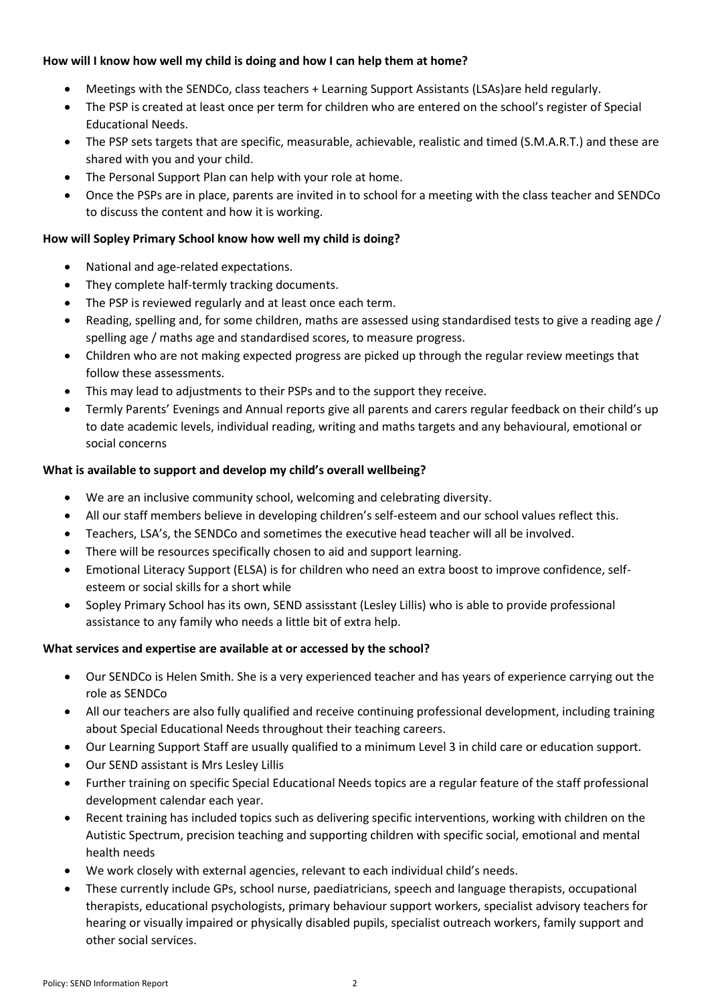### **How will I know how well my child is doing and how I can help them at home?**

- Meetings with the SENDCo, class teachers + Learning Support Assistants (LSAs)are held regularly.
- The PSP is created at least once per term for children who are entered on the school's register of Special Educational Needs.
- The PSP sets targets that are specific, measurable, achievable, realistic and timed (S.M.A.R.T.) and these are shared with you and your child.
- The Personal Support Plan can help with your role at home.
- Once the PSPs are in place, parents are invited in to school for a meeting with the class teacher and SENDCo to discuss the content and how it is working.

# **How will Sopley Primary School know how well my child is doing?**

- National and age-related expectations.
- They complete half-termly tracking documents.
- The PSP is reviewed regularly and at least once each term.
- Reading, spelling and, for some children, maths are assessed using standardised tests to give a reading age / spelling age / maths age and standardised scores, to measure progress.
- Children who are not making expected progress are picked up through the regular review meetings that follow these assessments.
- This may lead to adjustments to their PSPs and to the support they receive.
- Termly Parents' Evenings and Annual reports give all parents and carers regular feedback on their child's up to date academic levels, individual reading, writing and maths targets and any behavioural, emotional or social concerns

### **What is available to support and develop my child's overall wellbeing?**

- We are an inclusive community school, welcoming and celebrating diversity.
- All our staff members believe in developing children's self-esteem and our school values reflect this.
- Teachers, LSA's, the SENDCo and sometimes the executive head teacher will all be involved.
- There will be resources specifically chosen to aid and support learning.
- Emotional Literacy Support (ELSA) is for children who need an extra boost to improve confidence, selfesteem or social skills for a short while
- Sopley Primary School has its own, SEND assisstant (Lesley Lillis) who is able to provide professional assistance to any family who needs a little bit of extra help.

# **What services and expertise are available at or accessed by the school?**

- Our SENDCo is Helen Smith. She is a very experienced teacher and has years of experience carrying out the role as SENDCo
- All our teachers are also fully qualified and receive continuing professional development, including training about Special Educational Needs throughout their teaching careers.
- Our Learning Support Staff are usually qualified to a minimum Level 3 in child care or education support.
- Our SEND assistant is Mrs Lesley Lillis
- Further training on specific Special Educational Needs topics are a regular feature of the staff professional development calendar each year.
- Recent training has included topics such as delivering specific interventions, working with children on the Autistic Spectrum, precision teaching and supporting children with specific social, emotional and mental health needs
- We work closely with external agencies, relevant to each individual child's needs.
- These currently include GPs, school nurse, paediatricians, speech and language therapists, occupational therapists, educational psychologists, primary behaviour support workers, specialist advisory teachers for hearing or visually impaired or physically disabled pupils, specialist outreach workers, family support and other social services.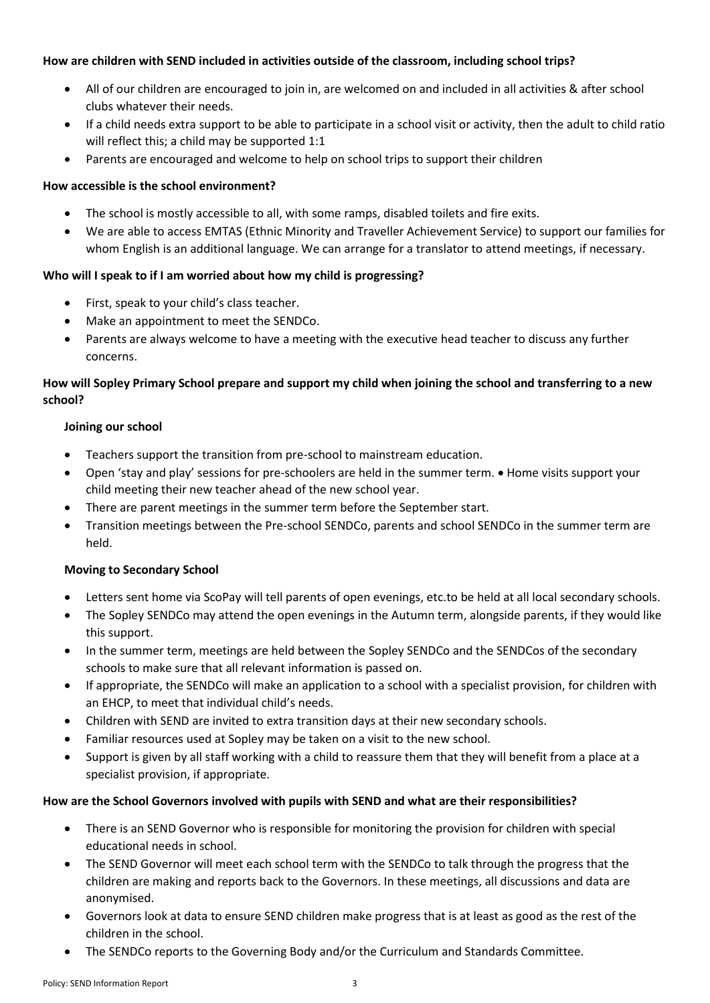### **How are children with SEND included in activities outside of the classroom, including school trips?**

- All of our children are encouraged to join in, are welcomed on and included in all activities & after school clubs whatever their needs.
- If a child needs extra support to be able to participate in a school visit or activity, then the adult to child ratio will reflect this; a child may be supported 1:1
- Parents are encouraged and welcome to help on school trips to support their children

# **How accessible is the school environment?**

- The school is mostly accessible to all, with some ramps, disabled toilets and fire exits.
- We are able to access EMTAS (Ethnic Minority and Traveller Achievement Service) to support our families for whom English is an additional language. We can arrange for a translator to attend meetings, if necessary.

# **Who will I speak to if I am worried about how my child is progressing?**

- First, speak to your child's class teacher.
- Make an appointment to meet the SENDCo.
- Parents are always welcome to have a meeting with the executive head teacher to discuss any further concerns.

# **How will Sopley Primary School prepare and support my child when joining the school and transferring to a new school?**

### **Joining our school**

- Teachers support the transition from pre-school to mainstream education.
- Open 'stay and play' sessions for pre-schoolers are held in the summer term. Home visits support your child meeting their new teacher ahead of the new school year.
- There are parent meetings in the summer term before the September start.
- Transition meetings between the Pre-school SENDCo, parents and school SENDCo in the summer term are held.

# **Moving to Secondary School**

- Letters sent home via ScoPay will tell parents of open evenings, etc.to be held at all local secondary schools.
- The Sopley SENDCo may attend the open evenings in the Autumn term, alongside parents, if they would like this support.
- In the summer term, meetings are held between the Sopley SENDCo and the SENDCos of the secondary schools to make sure that all relevant information is passed on.
- If appropriate, the SENDCo will make an application to a school with a specialist provision, for children with an EHCP, to meet that individual child's needs.
- Children with SEND are invited to extra transition days at their new secondary schools.
- Familiar resources used at Sopley may be taken on a visit to the new school.
- Support is given by all staff working with a child to reassure them that they will benefit from a place at a specialist provision, if appropriate.

# **How are the School Governors involved with pupils with SEND and what are their responsibilities?**

- There is an SEND Governor who is responsible for monitoring the provision for children with special educational needs in school.
- The SEND Governor will meet each school term with the SENDCo to talk through the progress that the children are making and reports back to the Governors. In these meetings, all discussions and data are anonymised.
- Governors look at data to ensure SEND children make progress that is at least as good as the rest of the children in the school.
- The SENDCo reports to the Governing Body and/or the Curriculum and Standards Committee.